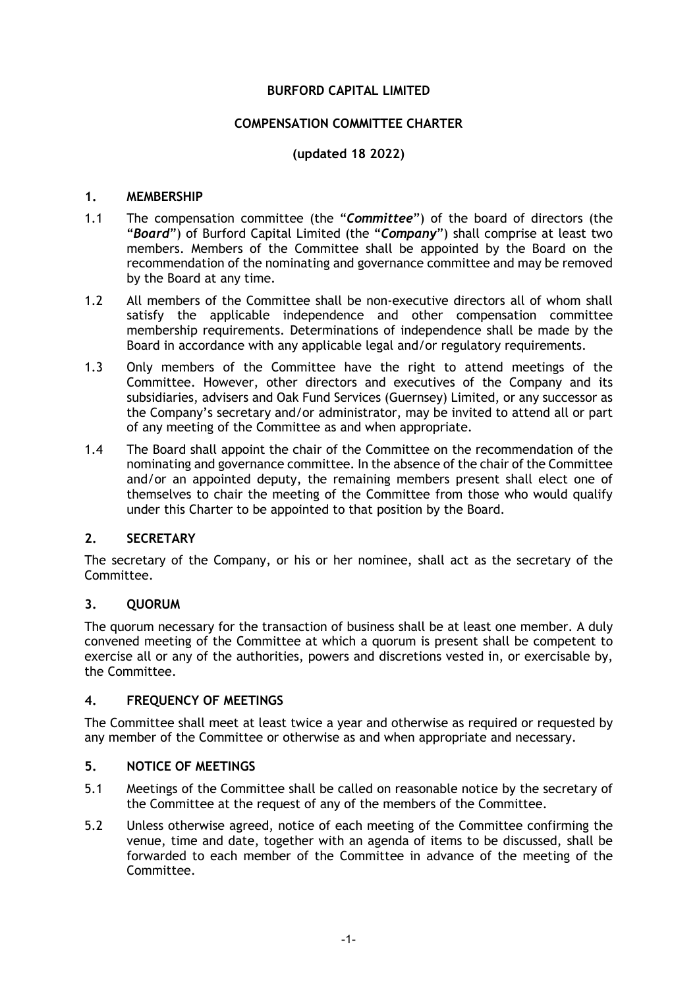# **BURFORD CAPITAL LIMITED**

### **COMPENSATION COMMITTEE CHARTER**

## **(updated 18 2022)**

#### **1. MEMBERSHIP**

- 1.1 The compensation committee (the "*Committee*") of the board of directors (the "*Board*") of Burford Capital Limited (the "*Company*") shall comprise at least two members. Members of the Committee shall be appointed by the Board on the recommendation of the nominating and governance committee and may be removed by the Board at any time.
- 1.2 All members of the Committee shall be non-executive directors all of whom shall satisfy the applicable independence and other compensation committee membership requirements. Determinations of independence shall be made by the Board in accordance with any applicable legal and/or regulatory requirements.
- 1.3 Only members of the Committee have the right to attend meetings of the Committee. However, other directors and executives of the Company and its subsidiaries, advisers and Oak Fund Services (Guernsey) Limited, or any successor as the Company's secretary and/or administrator, may be invited to attend all or part of any meeting of the Committee as and when appropriate.
- 1.4 The Board shall appoint the chair of the Committee on the recommendation of the nominating and governance committee. In the absence of the chair of the Committee and/or an appointed deputy, the remaining members present shall elect one of themselves to chair the meeting of the Committee from those who would qualify under this Charter to be appointed to that position by the Board.

### **2. SECRETARY**

The secretary of the Company, or his or her nominee, shall act as the secretary of the Committee.

### **3. QUORUM**

The quorum necessary for the transaction of business shall be at least one member. A duly convened meeting of the Committee at which a quorum is present shall be competent to exercise all or any of the authorities, powers and discretions vested in, or exercisable by, the Committee.

### **4. FREQUENCY OF MEETINGS**

The Committee shall meet at least twice a year and otherwise as required or requested by any member of the Committee or otherwise as and when appropriate and necessary.

### **5. NOTICE OF MEETINGS**

- 5.1 Meetings of the Committee shall be called on reasonable notice by the secretary of the Committee at the request of any of the members of the Committee.
- 5.2 Unless otherwise agreed, notice of each meeting of the Committee confirming the venue, time and date, together with an agenda of items to be discussed, shall be forwarded to each member of the Committee in advance of the meeting of the Committee.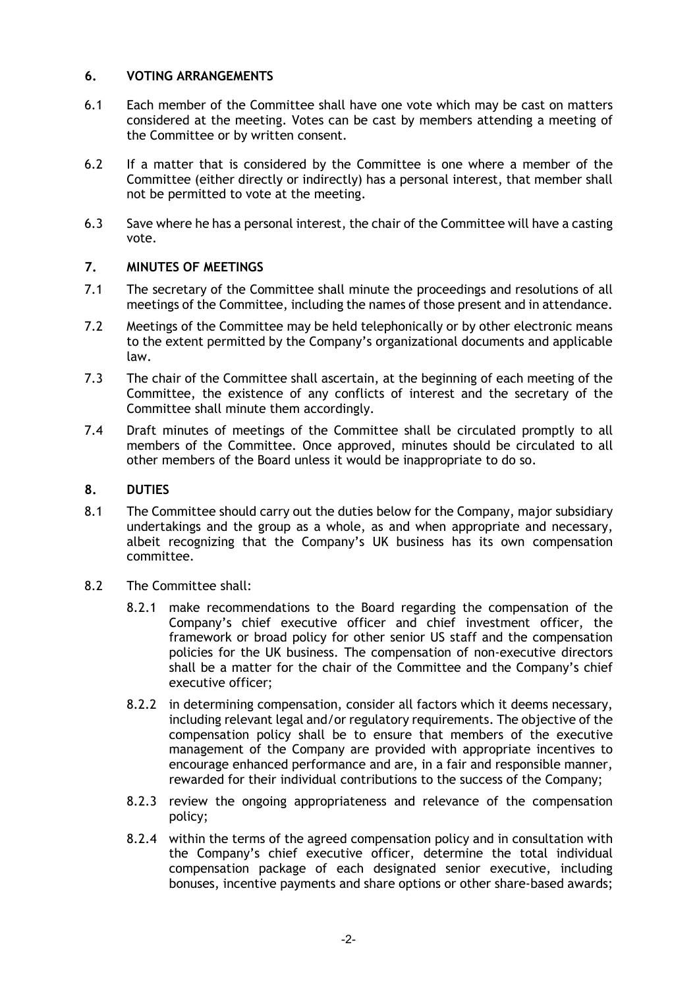## **6. VOTING ARRANGEMENTS**

- 6.1 Each member of the Committee shall have one vote which may be cast on matters considered at the meeting. Votes can be cast by members attending a meeting of the Committee or by written consent.
- 6.2 If a matter that is considered by the Committee is one where a member of the Committee (either directly or indirectly) has a personal interest, that member shall not be permitted to vote at the meeting.
- 6.3 Save where he has a personal interest, the chair of the Committee will have a casting vote.

### **7. MINUTES OF MEETINGS**

- 7.1 The secretary of the Committee shall minute the proceedings and resolutions of all meetings of the Committee, including the names of those present and in attendance.
- 7.2 Meetings of the Committee may be held telephonically or by other electronic means to the extent permitted by the Company's organizational documents and applicable law.
- 7.3 The chair of the Committee shall ascertain, at the beginning of each meeting of the Committee, the existence of any conflicts of interest and the secretary of the Committee shall minute them accordingly.
- 7.4 Draft minutes of meetings of the Committee shall be circulated promptly to all members of the Committee. Once approved, minutes should be circulated to all other members of the Board unless it would be inappropriate to do so.

### **8. DUTIES**

- 8.1 The Committee should carry out the duties below for the Company, major subsidiary undertakings and the group as a whole, as and when appropriate and necessary, albeit recognizing that the Company's UK business has its own compensation committee.
- 8.2 The Committee shall:
	- 8.2.1 make recommendations to the Board regarding the compensation of the Company's chief executive officer and chief investment officer, the framework or broad policy for other senior US staff and the compensation policies for the UK business. The compensation of non-executive directors shall be a matter for the chair of the Committee and the Company's chief executive officer;
	- 8.2.2 in determining compensation, consider all factors which it deems necessary, including relevant legal and/or regulatory requirements. The objective of the compensation policy shall be to ensure that members of the executive management of the Company are provided with appropriate incentives to encourage enhanced performance and are, in a fair and responsible manner, rewarded for their individual contributions to the success of the Company;
	- 8.2.3 review the ongoing appropriateness and relevance of the compensation policy;
	- 8.2.4 within the terms of the agreed compensation policy and in consultation with the Company's chief executive officer, determine the total individual compensation package of each designated senior executive, including bonuses, incentive payments and share options or other share-based awards;